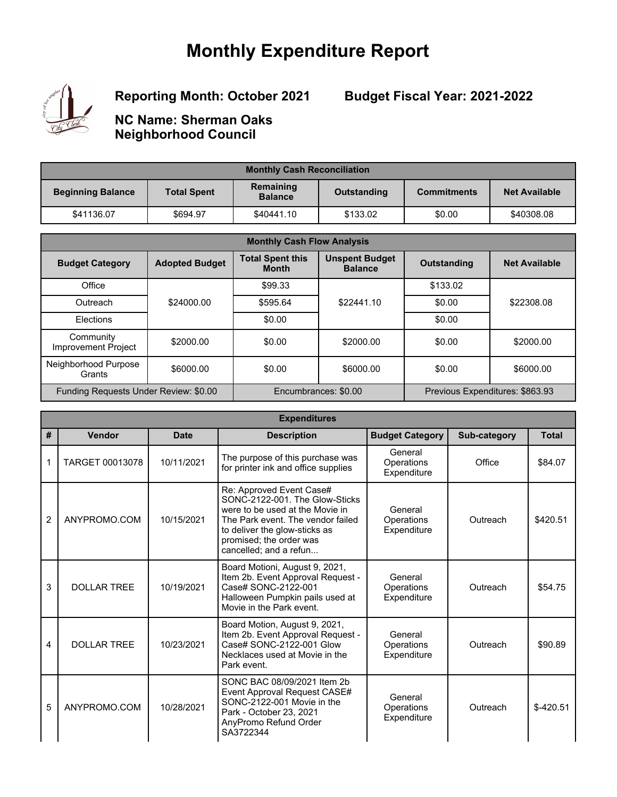## **Monthly Expenditure Report**



**Reporting Month: October 2021**

**Budget Fiscal Year: 2021-2022**

**NC Name: Sherman Oaks Neighborhood Council**

| <b>Monthly Cash Reconciliation</b> |                    |                             |             |                    |                      |  |
|------------------------------------|--------------------|-----------------------------|-------------|--------------------|----------------------|--|
| <b>Beginning Balance</b>           | <b>Total Spent</b> | Remaining<br><b>Balance</b> | Outstanding | <b>Commitments</b> | <b>Net Available</b> |  |
| \$41136.07                         | \$694.97           | \$40441.10                  | \$133.02    | \$0.00             | \$40308.08           |  |

| <b>Monthly Cash Flow Analysis</b>       |                       |                                         |                                         |                                 |                      |  |
|-----------------------------------------|-----------------------|-----------------------------------------|-----------------------------------------|---------------------------------|----------------------|--|
| <b>Budget Category</b>                  | <b>Adopted Budget</b> | <b>Total Spent this</b><br><b>Month</b> | <b>Unspent Budget</b><br><b>Balance</b> | <b>Outstanding</b>              | <b>Net Available</b> |  |
| Office                                  |                       | \$99.33                                 |                                         | \$133.02                        |                      |  |
| Outreach                                | \$24000.00            | \$595.64                                | \$22441.10                              | \$0.00                          | \$22308.08           |  |
| Elections                               |                       | \$0.00                                  |                                         | \$0.00                          |                      |  |
| Community<br><b>Improvement Project</b> | \$2000.00             | \$0.00                                  | \$2000.00                               | \$0.00                          | \$2000.00            |  |
| Neighborhood Purpose<br>Grants          | \$6000.00             | \$0.00                                  | \$6000.00                               | \$0.00                          | \$6000.00            |  |
| Funding Requests Under Review: \$0.00   |                       | Encumbrances: \$0.00                    |                                         | Previous Expenditures: \$863.93 |                      |  |

|                | <b>Expenditures</b> |             |                                                                                                                                                                                                                          |                                      |              |              |  |
|----------------|---------------------|-------------|--------------------------------------------------------------------------------------------------------------------------------------------------------------------------------------------------------------------------|--------------------------------------|--------------|--------------|--|
| #              | Vendor              | <b>Date</b> | <b>Description</b>                                                                                                                                                                                                       | <b>Budget Category</b>               | Sub-category | <b>Total</b> |  |
| 1              | TARGET 00013078     | 10/11/2021  | The purpose of this purchase was<br>for printer ink and office supplies                                                                                                                                                  | General<br>Operations<br>Expenditure | Office       | \$84.07      |  |
| $\overline{2}$ | ANYPROMO.COM        | 10/15/2021  | Re: Approved Event Case#<br>SONC-2122-001. The Glow-Sticks<br>were to be used at the Movie in<br>The Park event. The vendor failed<br>to deliver the glow-sticks as<br>promised; the order was<br>cancelled; and a refun | General<br>Operations<br>Expenditure | Outreach     | \$420.51     |  |
| 3              | <b>DOLLAR TREE</b>  | 10/19/2021  | Board Motioni, August 9, 2021,<br>Item 2b. Event Approval Request -<br>Case# SONC-2122-001<br>Halloween Pumpkin pails used at<br>Movie in the Park event.                                                                | General<br>Operations<br>Expenditure | Outreach     | \$54.75      |  |
| 4              | <b>DOLLAR TREE</b>  | 10/23/2021  | Board Motion, August 9, 2021,<br>Item 2b. Event Approval Request -<br>Case# SONC-2122-001 Glow<br>Necklaces used at Movie in the<br>Park event.                                                                          | General<br>Operations<br>Expenditure | Outreach     | \$90.89      |  |
| 5              | ANYPROMO.COM        | 10/28/2021  | SONC BAC 08/09/2021 Item 2b<br>Event Approval Request CASE#<br>SONC-2122-001 Movie in the<br>Park - October 23, 2021<br>AnyPromo Refund Order<br>SA3722344                                                               | General<br>Operations<br>Expenditure | Outreach     | $$-420.51$   |  |